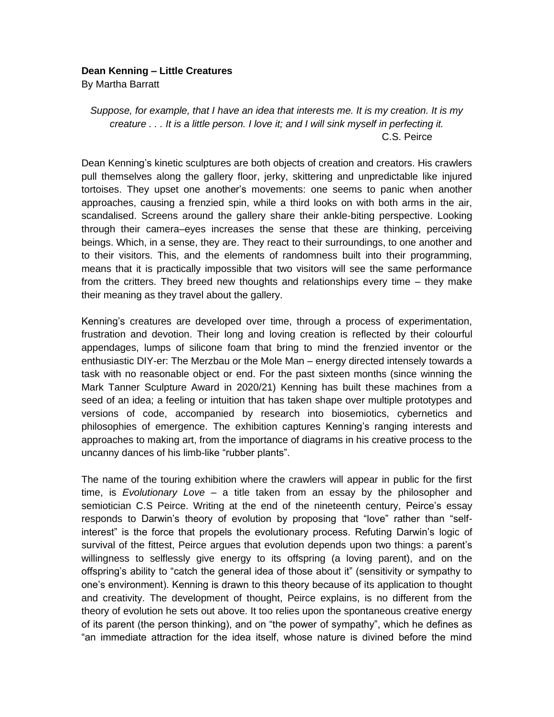## **Dean Kenning – Little Creatures**

By Martha Barratt

*Suppose, for example, that I have an idea that interests me. It is my creation. It is my creature . . . It is a little person. I love it; and I will sink myself in perfecting it.* C.S. Peirce

Dean Kenning's kinetic sculptures are both objects of creation and creators. His crawlers pull themselves along the gallery floor, jerky, skittering and unpredictable like injured tortoises. They upset one another's movements: one seems to panic when another approaches, causing a frenzied spin, while a third looks on with both arms in the air, scandalised. Screens around the gallery share their ankle-biting perspective. Looking through their camera–eyes increases the sense that these are thinking, perceiving beings. Which, in a sense, they are. They react to their surroundings, to one another and to their visitors. This, and the elements of randomness built into their programming, means that it is practically impossible that two visitors will see the same performance from the critters. They breed new thoughts and relationships every time – they make their meaning as they travel about the gallery.

Kenning's creatures are developed over time, through a process of experimentation, frustration and devotion. Their long and loving creation is reflected by their colourful appendages, lumps of silicone foam that bring to mind the frenzied inventor or the enthusiastic DIY-er: The Merzbau or the Mole Man – energy directed intensely towards a task with no reasonable object or end. For the past sixteen months (since winning the Mark Tanner Sculpture Award in 2020/21) Kenning has built these machines from a seed of an idea; a feeling or intuition that has taken shape over multiple prototypes and versions of code, accompanied by research into biosemiotics, cybernetics and philosophies of emergence. The exhibition captures Kenning's ranging interests and approaches to making art, from the importance of diagrams in his creative process to the uncanny dances of his limb-like "rubber plants".

The name of the touring exhibition where the crawlers will appear in public for the first time, is *Evolutionary Love* – a title taken from an essay by the philosopher and semiotician C.S Peirce. Writing at the end of the nineteenth century, Peirce's essay responds to Darwin's theory of evolution by proposing that "love" rather than "selfinterest" is the force that propels the evolutionary process. Refuting Darwin's logic of survival of the fittest, Peirce argues that evolution depends upon two things: a parent's willingness to selflessly give energy to its offspring (a loving parent), and on the offspring's ability to "catch the general idea of those about it" (sensitivity or sympathy to one's environment). Kenning is drawn to this theory because of its application to thought and creativity. The development of thought, Peirce explains, is no different from the theory of evolution he sets out above. It too relies upon the spontaneous creative energy of its parent (the person thinking), and on "the power of sympathy", which he defines as "an immediate attraction for the idea itself, whose nature is divined before the mind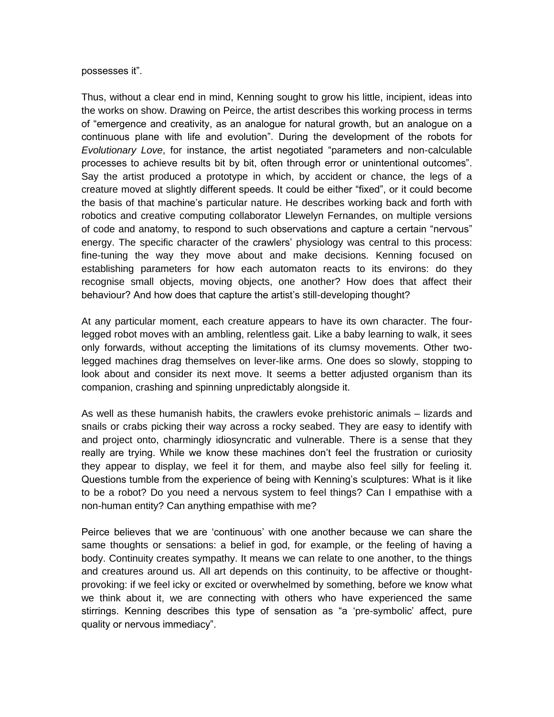possesses it".

Thus, without a clear end in mind, Kenning sought to grow his little, incipient, ideas into the works on show. Drawing on Peirce, the artist describes this working process in terms of "emergence and creativity, as an analogue for natural growth, but an analogue on a continuous plane with life and evolution". During the development of the robots for *Evolutionary Love*, for instance, the artist negotiated "parameters and non-calculable processes to achieve results bit by bit, often through error or unintentional outcomes". Say the artist produced a prototype in which, by accident or chance, the legs of a creature moved at slightly different speeds. It could be either "fixed", or it could become the basis of that machine's particular nature. He describes working back and forth with robotics and creative computing collaborator Llewelyn Fernandes, on multiple versions of code and anatomy, to respond to such observations and capture a certain "nervous" energy. The specific character of the crawlers' physiology was central to this process: fine-tuning the way they move about and make decisions. Kenning focused on establishing parameters for how each automaton reacts to its environs: do they recognise small objects, moving objects, one another? How does that affect their behaviour? And how does that capture the artist's still-developing thought?

At any particular moment, each creature appears to have its own character. The fourlegged robot moves with an ambling, relentless gait. Like a baby learning to walk, it sees only forwards, without accepting the limitations of its clumsy movements. Other twolegged machines drag themselves on lever-like arms. One does so slowly, stopping to look about and consider its next move. It seems a better adjusted organism than its companion, crashing and spinning unpredictably alongside it.

As well as these humanish habits, the crawlers evoke prehistoric animals – lizards and snails or crabs picking their way across a rocky seabed. They are easy to identify with and project onto, charmingly idiosyncratic and vulnerable. There is a sense that they really are trying. While we know these machines don't feel the frustration or curiosity they appear to display, we feel it for them, and maybe also feel silly for feeling it. Questions tumble from the experience of being with Kenning's sculptures: What is it like to be a robot? Do you need a nervous system to feel things? Can I empathise with a non-human entity? Can anything empathise with me?

Peirce believes that we are ʻcontinuous' with one another because we can share the same thoughts or sensations: a belief in god, for example, or the feeling of having a body. Continuity creates sympathy. It means we can relate to one another, to the things and creatures around us. All art depends on this continuity, to be affective or thoughtprovoking: if we feel icky or excited or overwhelmed by something, before we know what we think about it, we are connecting with others who have experienced the same stirrings. Kenning describes this type of sensation as "a ʻpre-symbolic' affect, pure quality or nervous immediacy".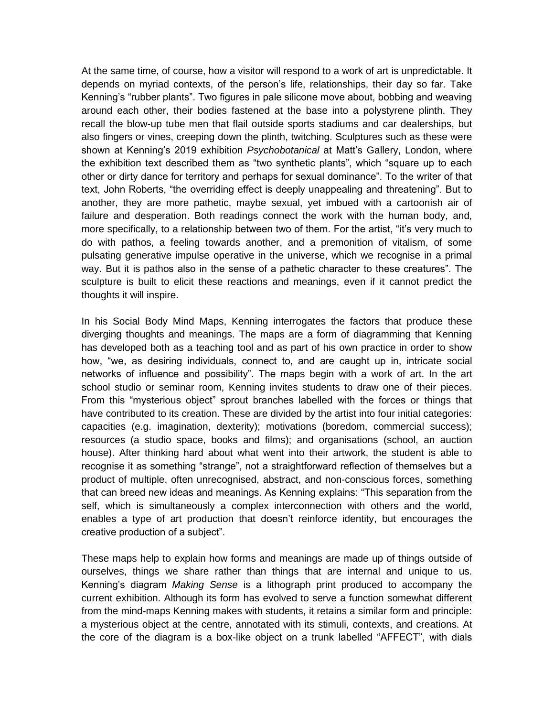At the same time, of course, how a visitor will respond to a work of art is unpredictable. It depends on myriad contexts, of the person's life, relationships, their day so far. Take Kenning's "rubber plants". Two figures in pale silicone move about, bobbing and weaving around each other, their bodies fastened at the base into a polystyrene plinth. They recall the blow-up tube men that flail outside sports stadiums and car dealerships, but also fingers or vines, creeping down the plinth, twitching. Sculptures such as these were shown at Kenning's 2019 exhibition *Psychobotanical* at Matt's Gallery, London, where the exhibition text described them as "two synthetic plants", which "square up to each other or dirty dance for territory and perhaps for sexual dominance". To the writer of that text, John Roberts, "the overriding effect is deeply unappealing and threatening". But to another, they are more pathetic, maybe sexual, yet imbued with a cartoonish air of failure and desperation. Both readings connect the work with the human body, and, more specifically, to a relationship between two of them. For the artist, "it's very much to do with pathos, a feeling towards another, and a premonition of vitalism, of some pulsating generative impulse operative in the universe, which we recognise in a primal way. But it is pathos also in the sense of a pathetic character to these creatures". The sculpture is built to elicit these reactions and meanings, even if it cannot predict the thoughts it will inspire.

In his Social Body Mind Maps, Kenning interrogates the factors that produce these diverging thoughts and meanings. The maps are a form of diagramming that Kenning has developed both as a teaching tool and as part of his own practice in order to show how, "we, as desiring individuals, connect to, and are caught up in, intricate social networks of influence and possibility". The maps begin with a work of art. In the art school studio or seminar room, Kenning invites students to draw one of their pieces. From this "mysterious object" sprout branches labelled with the forces or things that have contributed to its creation. These are divided by the artist into four initial categories: capacities (e.g. imagination, dexterity); motivations (boredom, commercial success); resources (a studio space, books and films); and organisations (school, an auction house). After thinking hard about what went into their artwork, the student is able to recognise it as something "strange", not a straightforward reflection of themselves but a product of multiple, often unrecognised, abstract, and non-conscious forces, something that can breed new ideas and meanings. As Kenning explains: "This separation from the self, which is simultaneously a complex interconnection with others and the world, enables a type of art production that doesn't reinforce identity, but encourages the creative production of a subject".

These maps help to explain how forms and meanings are made up of things outside of ourselves, things we share rather than things that are internal and unique to us. Kenning's diagram *Making Sense* is a lithograph print produced to accompany the current exhibition. Although its form has evolved to serve a function somewhat different from the mind-maps Kenning makes with students, it retains a similar form and principle: a mysterious object at the centre, annotated with its stimuli, contexts, and creations. At the core of the diagram is a box-like object on a trunk labelled "AFFECT", with dials